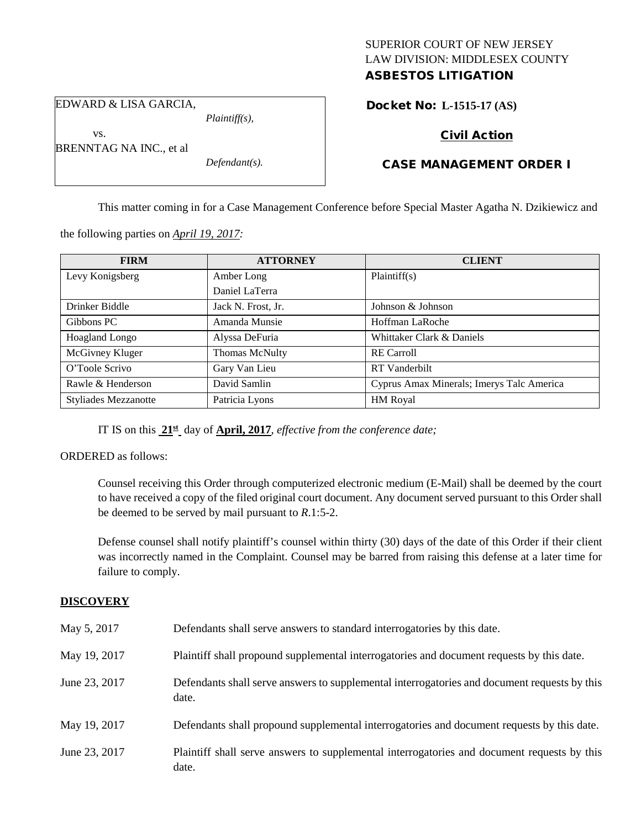## SUPERIOR COURT OF NEW JERSEY LAW DIVISION: MIDDLESEX COUNTY ASBESTOS LITIGATION

EDWARD & LISA GARCIA,

BRENNTAG NA INC., et al

vs.

*Plaintiff(s),*

*Defendant(s).*

Docket No: **L-1515-17 (AS)** 

# Civil Action

CASE MANAGEMENT ORDER I

This matter coming in for a Case Management Conference before Special Master Agatha N. Dzikiewicz and

the following parties on *April 19, 2017:*

| <b>FIRM</b>                 | <b>ATTORNEY</b>    | <b>CLIENT</b>                             |
|-----------------------------|--------------------|-------------------------------------------|
| Levy Konigsberg             | Amber Long         | Plaintiff(s)                              |
|                             | Daniel LaTerra     |                                           |
| Drinker Biddle              | Jack N. Frost, Jr. | Johnson & Johnson                         |
| Gibbons PC                  | Amanda Munsie      | Hoffman LaRoche                           |
| Hoagland Longo              | Alyssa DeFuria     | Whittaker Clark & Daniels                 |
| McGivney Kluger             | Thomas McNulty     | <b>RE</b> Carroll                         |
| O'Toole Scrivo              | Gary Van Lieu      | <b>RT</b> Vanderbilt                      |
| Rawle & Henderson           | David Samlin       | Cyprus Amax Minerals; Imerys Talc America |
| <b>Styliades Mezzanotte</b> | Patricia Lyons     | HM Royal                                  |

IT IS on this **21st** day of **April, 2017**, *effective from the conference date;*

ORDERED as follows:

Counsel receiving this Order through computerized electronic medium (E-Mail) shall be deemed by the court to have received a copy of the filed original court document. Any document served pursuant to this Order shall be deemed to be served by mail pursuant to *R*.1:5-2.

Defense counsel shall notify plaintiff's counsel within thirty (30) days of the date of this Order if their client was incorrectly named in the Complaint. Counsel may be barred from raising this defense at a later time for failure to comply.

## **DISCOVERY**

| May 5, 2017   | Defendants shall serve answers to standard interrogatories by this date.                              |
|---------------|-------------------------------------------------------------------------------------------------------|
| May 19, 2017  | Plaintiff shall propound supplemental interrogatories and document requests by this date.             |
| June 23, 2017 | Defendants shall serve answers to supplemental interrogatories and document requests by this<br>date. |
| May 19, 2017  | Defendants shall propound supplemental interrogatories and document requests by this date.            |
| June 23, 2017 | Plaintiff shall serve answers to supplemental interrogatories and document requests by this<br>date.  |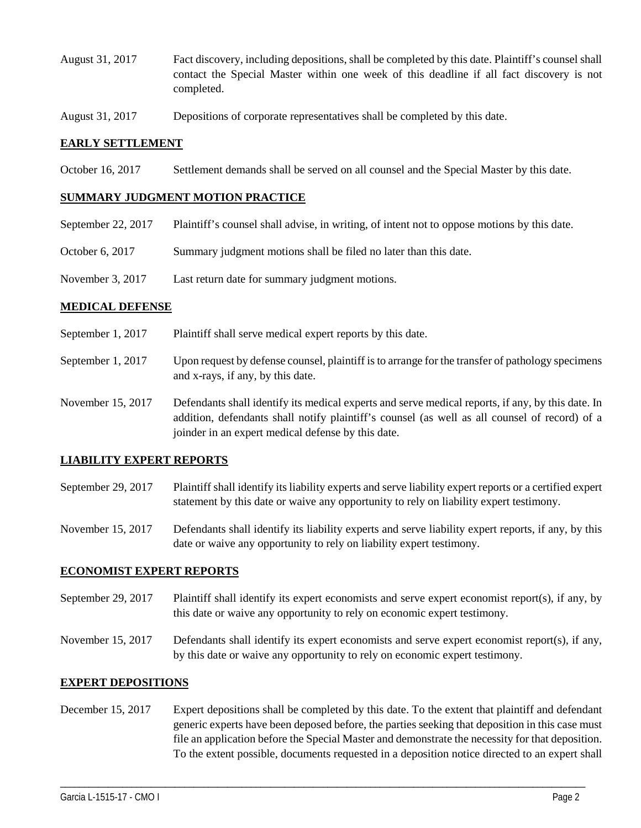- August 31, 2017 Fact discovery, including depositions, shall be completed by this date. Plaintiff's counsel shall contact the Special Master within one week of this deadline if all fact discovery is not completed.
- August 31, 2017 Depositions of corporate representatives shall be completed by this date.

### **EARLY SETTLEMENT**

October 16, 2017 Settlement demands shall be served on all counsel and the Special Master by this date.

#### **SUMMARY JUDGMENT MOTION PRACTICE**

- September 22, 2017 Plaintiff's counsel shall advise, in writing, of intent not to oppose motions by this date.
- October 6, 2017 Summary judgment motions shall be filed no later than this date.
- November 3, 2017 Last return date for summary judgment motions.

### **MEDICAL DEFENSE**

- September 1, 2017 Plaintiff shall serve medical expert reports by this date.
- September 1, 2017 Upon request by defense counsel, plaintiff is to arrange for the transfer of pathology specimens and x-rays, if any, by this date.
- November 15, 2017 Defendants shall identify its medical experts and serve medical reports, if any, by this date. In addition, defendants shall notify plaintiff's counsel (as well as all counsel of record) of a joinder in an expert medical defense by this date.

### **LIABILITY EXPERT REPORTS**

- September 29, 2017 Plaintiff shall identify its liability experts and serve liability expert reports or a certified expert statement by this date or waive any opportunity to rely on liability expert testimony.
- November 15, 2017 Defendants shall identify its liability experts and serve liability expert reports, if any, by this date or waive any opportunity to rely on liability expert testimony.

#### **ECONOMIST EXPERT REPORTS**

- September 29, 2017 Plaintiff shall identify its expert economists and serve expert economist report(s), if any, by this date or waive any opportunity to rely on economic expert testimony.
- November 15, 2017 Defendants shall identify its expert economists and serve expert economist report(s), if any, by this date or waive any opportunity to rely on economic expert testimony.

### **EXPERT DEPOSITIONS**

December 15, 2017 Expert depositions shall be completed by this date. To the extent that plaintiff and defendant generic experts have been deposed before, the parties seeking that deposition in this case must file an application before the Special Master and demonstrate the necessity for that deposition. To the extent possible, documents requested in a deposition notice directed to an expert shall

\_\_\_\_\_\_\_\_\_\_\_\_\_\_\_\_\_\_\_\_\_\_\_\_\_\_\_\_\_\_\_\_\_\_\_\_\_\_\_\_\_\_\_\_\_\_\_\_\_\_\_\_\_\_\_\_\_\_\_\_\_\_\_\_\_\_\_\_\_\_\_\_\_\_\_\_\_\_\_\_\_\_\_\_\_\_\_\_\_\_\_\_\_\_\_\_\_\_\_\_\_\_\_\_\_\_\_\_\_\_